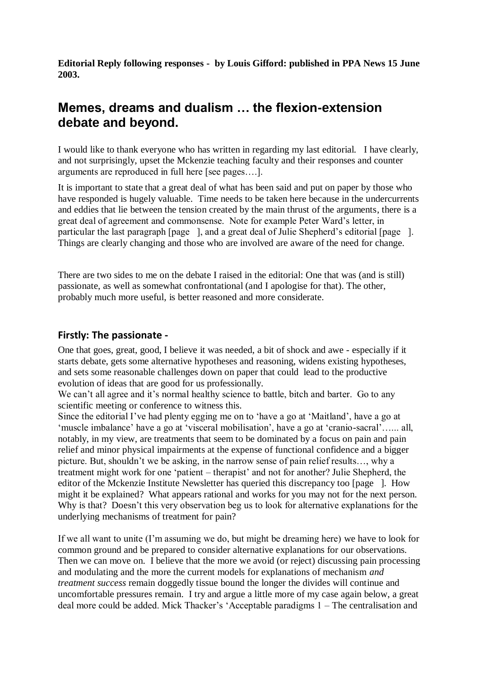**Editorial Reply following responses - by Louis Gifford: published in PPA News 15 June 2003.**

# **Memes, dreams and dualism … the flexion-extension debate and beyond.**

I would like to thank everyone who has written in regarding my last editorial. I have clearly, and not surprisingly, upset the Mckenzie teaching faculty and their responses and counter arguments are reproduced in full here [see pages….].

It is important to state that a great deal of what has been said and put on paper by those who have responded is hugely valuable. Time needs to be taken here because in the undercurrents and eddies that lie between the tension created by the main thrust of the arguments, there is a great deal of agreement and commonsense. Note for example Peter Ward's letter, in particular the last paragraph [page ], and a great deal of Julie Shepherd's editorial [page ]. Things are clearly changing and those who are involved are aware of the need for change.

There are two sides to me on the debate I raised in the editorial: One that was (and is still) passionate, as well as somewhat confrontational (and I apologise for that). The other, probably much more useful, is better reasoned and more considerate.

## **Firstly: The passionate -**

One that goes, great, good, I believe it was needed, a bit of shock and awe - especially if it starts debate, gets some alternative hypotheses and reasoning, widens existing hypotheses, and sets some reasonable challenges down on paper that could lead to the productive evolution of ideas that are good for us professionally.

We can't all agree and it's normal healthy science to battle, bitch and barter. Go to any scientific meeting or conference to witness this.

Since the editorial I've had plenty egging me on to 'have a go at 'Maitland', have a go at 'muscle imbalance' have a go at 'visceral mobilisation', have a go at 'cranio-sacral'…... all, notably, in my view, are treatments that seem to be dominated by a focus on pain and pain relief and minor physical impairments at the expense of functional confidence and a bigger picture. But, shouldn't we be asking, in the narrow sense of pain relief results…, why a treatment might work for one 'patient – therapist' and not for another? Julie Shepherd, the editor of the Mckenzie Institute Newsletter has queried this discrepancy too [page ]. How might it be explained? What appears rational and works for you may not for the next person. Why is that? Doesn't this very observation beg us to look for alternative explanations for the underlying mechanisms of treatment for pain?

If we all want to unite (I'm assuming we do, but might be dreaming here) we have to look for common ground and be prepared to consider alternative explanations for our observations. Then we can move on. I believe that the more we avoid (or reject) discussing pain processing and modulating and the more the current models for explanations of mechanism *and treatment success* remain doggedly tissue bound the longer the divides will continue and uncomfortable pressures remain. I try and argue a little more of my case again below, a great deal more could be added. Mick Thacker's 'Acceptable paradigms 1 – The centralisation and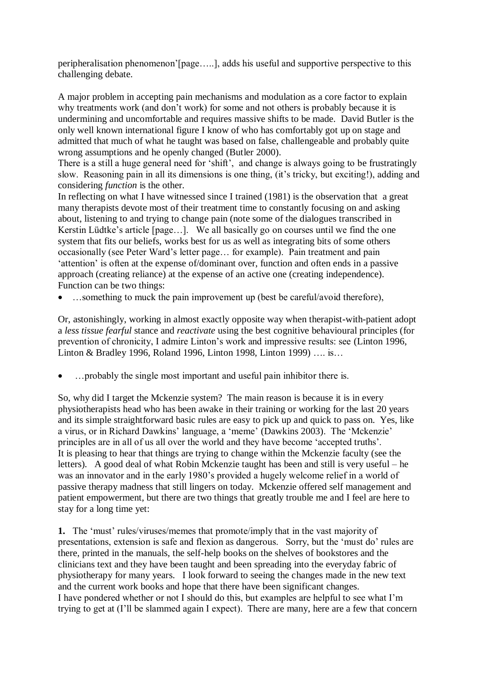peripheralisation phenomenon'[page…..], adds his useful and supportive perspective to this challenging debate.

A major problem in accepting pain mechanisms and modulation as a core factor to explain why treatments work (and don't work) for some and not others is probably because it is undermining and uncomfortable and requires massive shifts to be made. David Butler is the only well known international figure I know of who has comfortably got up on stage and admitted that much of what he taught was based on false, challengeable and probably quite wrong assumptions and he openly changed (Butler 2000).

There is a still a huge general need for 'shift', and change is always going to be frustratingly slow. Reasoning pain in all its dimensions is one thing, (it's tricky, but exciting!), adding and considering *function* is the other*.* 

In reflecting on what I have witnessed since I trained (1981) is the observation that a great many therapists devote most of their treatment time to constantly focusing on and asking about, listening to and trying to change pain (note some of the dialogues transcribed in Kerstin Lüdtke's article [page…]. We all basically go on courses until we find the one system that fits our beliefs, works best for us as well as integrating bits of some others occasionally (see Peter Ward's letter page… for example). Pain treatment and pain 'attention' is often at the expense of/dominant over, function and often ends in a passive approach (creating reliance) at the expense of an active one (creating independence). Function can be two things:

• ...something to muck the pain improvement up (best be careful/avoid therefore).

Or, astonishingly, working in almost exactly opposite way when therapist-with-patient adopt a *less tissue fearful* stance and *reactivate* using the best cognitive behavioural principles (for prevention of chronicity, I admire Linton's work and impressive results: see (Linton 1996, Linton & Bradley 1996, Roland 1996, Linton 1998, Linton 1999) …. is…

…probably the single most important and useful pain inhibitor there is.

So, why did I target the Mckenzie system? The main reason is because it is in every physiotherapists head who has been awake in their training or working for the last 20 years and its simple straightforward basic rules are easy to pick up and quick to pass on. Yes, like a virus, or in Richard Dawkins' language, a 'meme' (Dawkins 2003). The 'Mckenzie' principles are in all of us all over the world and they have become 'accepted truths'. It is pleasing to hear that things are trying to change within the Mckenzie faculty (see the letters). A good deal of what Robin Mckenzie taught has been and still is very useful – he was an innovator and in the early 1980's provided a hugely welcome relief in a world of passive therapy madness that still lingers on today. Mckenzie offered self management and patient empowerment, but there are two things that greatly trouble me and I feel are here to stay for a long time yet:

**1.** The 'must' rules/viruses/memes that promote/imply that in the vast majority of presentations, extension is safe and flexion as dangerous. Sorry, but the 'must do' rules are there, printed in the manuals, the self-help books on the shelves of bookstores and the clinicians text and they have been taught and been spreading into the everyday fabric of physiotherapy for many years. I look forward to seeing the changes made in the new text and the current work books and hope that there have been significant changes. I have pondered whether or not I should do this, but examples are helpful to see what I'm trying to get at (I'll be slammed again I expect). There are many, here are a few that concern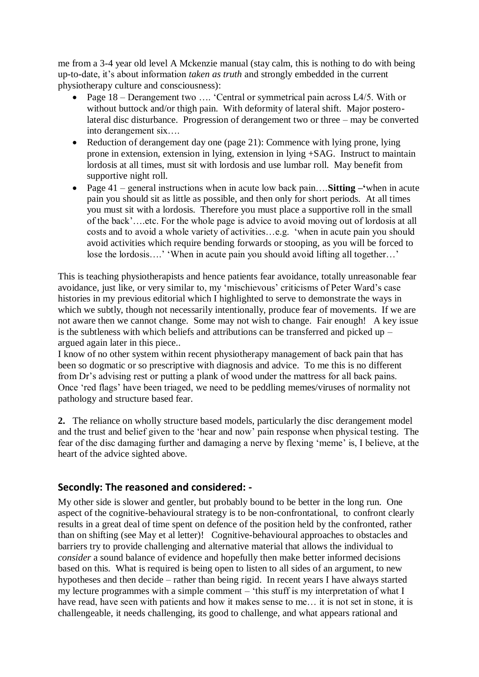me from a 3-4 year old level A Mckenzie manual (stay calm, this is nothing to do with being up-to-date, it's about information *taken as truth* and strongly embedded in the current physiotherapy culture and consciousness):

- Page 18 Derangement two …. 'Central or symmetrical pain across L4/5. With or without buttock and/or thigh pain. With deformity of lateral shift. Major posterolateral disc disturbance. Progression of derangement two or three – may be converted into derangement six….
- Reduction of derangement day one (page 21): Commence with lying prone, lying prone in extension, extension in lying, extension in lying +SAG. Instruct to maintain lordosis at all times, must sit with lordosis and use lumbar roll. May benefit from supportive night roll.
- Page 41 general instructions when in acute low back pain….**Sitting –'**when in acute pain you should sit as little as possible, and then only for short periods. At all times you must sit with a lordosis. Therefore you must place a supportive roll in the small of the back'….etc. For the whole page is advice to avoid moving out of lordosis at all costs and to avoid a whole variety of activities…e.g. 'when in acute pain you should avoid activities which require bending forwards or stooping, as you will be forced to lose the lordosis….' 'When in acute pain you should avoid lifting all together…'

This is teaching physiotherapists and hence patients fear avoidance, totally unreasonable fear avoidance, just like, or very similar to, my 'mischievous' criticisms of Peter Ward's case histories in my previous editorial which I highlighted to serve to demonstrate the ways in which we subtly, though not necessarily intentionally, produce fear of movements. If we are not aware then we cannot change. Some may not wish to change. Fair enough! A key issue is the subtleness with which beliefs and attributions can be transferred and picked up – argued again later in this piece..

I know of no other system within recent physiotherapy management of back pain that has been so dogmatic or so prescriptive with diagnosis and advice. To me this is no different from Dr's advising rest or putting a plank of wood under the mattress for all back pains. Once 'red flags' have been triaged, we need to be peddling memes/viruses of normality not pathology and structure based fear.

**2.** The reliance on wholly structure based models, particularly the disc derangement model and the trust and belief given to the 'hear and now' pain response when physical testing. The fear of the disc damaging further and damaging a nerve by flexing 'meme' is, I believe, at the heart of the advice sighted above.

## **Secondly: The reasoned and considered: -**

My other side is slower and gentler, but probably bound to be better in the long run. One aspect of the cognitive-behavioural strategy is to be non-confrontational, to confront clearly results in a great deal of time spent on defence of the position held by the confronted, rather than on shifting (see May et al letter)! Cognitive-behavioural approaches to obstacles and barriers try to provide challenging and alternative material that allows the individual to *consider* a sound balance of evidence and hopefully then make better informed decisions based on this. What is required is being open to listen to all sides of an argument, to new hypotheses and then decide – rather than being rigid. In recent years I have always started my lecture programmes with a simple comment – 'this stuff is my interpretation of what I have read, have seen with patients and how it makes sense to me... it is not set in stone, it is challengeable, it needs challenging, its good to challenge, and what appears rational and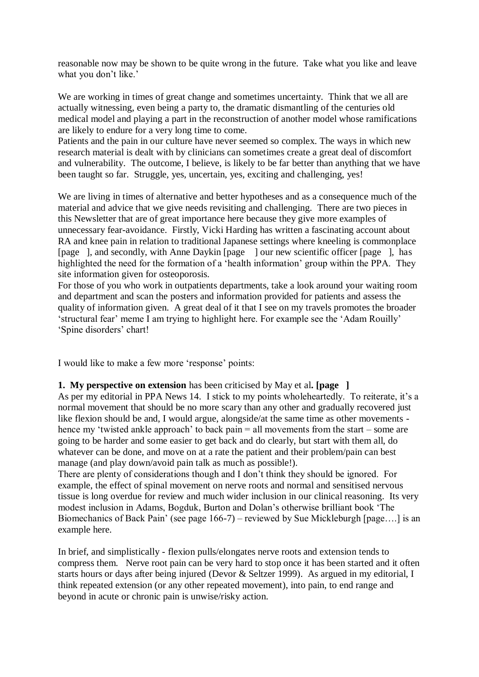reasonable now may be shown to be quite wrong in the future. Take what you like and leave what you don't like.'

We are working in times of great change and sometimes uncertainty. Think that we all are actually witnessing, even being a party to, the dramatic dismantling of the centuries old medical model and playing a part in the reconstruction of another model whose ramifications are likely to endure for a very long time to come.

Patients and the pain in our culture have never seemed so complex. The ways in which new research material is dealt with by clinicians can sometimes create a great deal of discomfort and vulnerability. The outcome, I believe, is likely to be far better than anything that we have been taught so far. Struggle, yes, uncertain, yes, exciting and challenging, yes!

We are living in times of alternative and better hypotheses and as a consequence much of the material and advice that we give needs revisiting and challenging. There are two pieces in this Newsletter that are of great importance here because they give more examples of unnecessary fear-avoidance. Firstly, Vicki Harding has written a fascinating account about RA and knee pain in relation to traditional Japanese settings where kneeling is commonplace [page ], and secondly, with Anne Daykin [page ] our new scientific officer [page ], has highlighted the need for the formation of a 'health information' group within the PPA. They site information given for osteoporosis.

For those of you who work in outpatients departments, take a look around your waiting room and department and scan the posters and information provided for patients and assess the quality of information given. A great deal of it that I see on my travels promotes the broader 'structural fear' meme I am trying to highlight here. For example see the 'Adam Rouilly' 'Spine disorders' chart!

I would like to make a few more 'response' points:

### **1. My perspective on extension** has been criticised by May et al**. [page ]**

As per my editorial in PPA News 14. I stick to my points wholeheartedly. To reiterate, it's a normal movement that should be no more scary than any other and gradually recovered just like flexion should be and, I would argue, alongside/at the same time as other movements hence my 'twisted ankle approach' to back pain = all movements from the start – some are going to be harder and some easier to get back and do clearly, but start with them all, do whatever can be done, and move on at a rate the patient and their problem/pain can best manage (and play down/avoid pain talk as much as possible!).

There are plenty of considerations though and I don't think they should be ignored. For example, the effect of spinal movement on nerve roots and normal and sensitised nervous tissue is long overdue for review and much wider inclusion in our clinical reasoning. Its very modest inclusion in Adams, Bogduk, Burton and Dolan's otherwise brilliant book 'The Biomechanics of Back Pain' (see page 166-7) – reviewed by Sue Mickleburgh [page….] is an example here.

In brief, and simplistically - flexion pulls/elongates nerve roots and extension tends to compress them. Nerve root pain can be very hard to stop once it has been started and it often starts hours or days after being injured (Devor & Seltzer 1999). As argued in my editorial, I think repeated extension (or any other repeated movement), into pain, to end range and beyond in acute or chronic pain is unwise/risky action.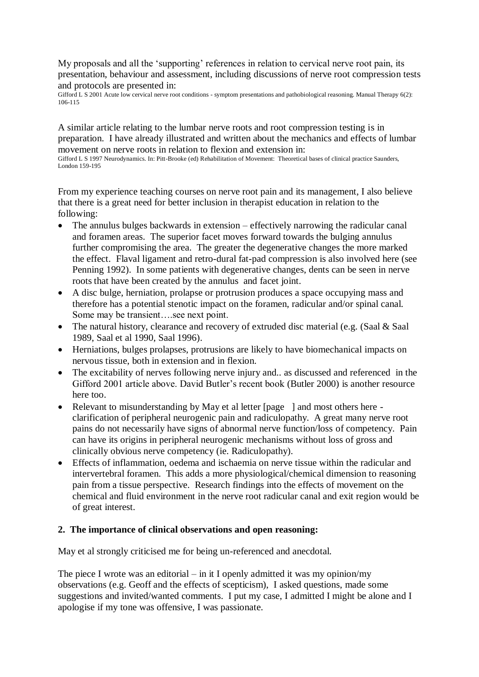My proposals and all the 'supporting' references in relation to cervical nerve root pain, its presentation, behaviour and assessment, including discussions of nerve root compression tests and protocols are presented in:

Gifford L S 2001 Acute low cervical nerve root conditions - symptom presentations and pathobiological reasoning. Manual Therapy 6(2): 106-115

A similar article relating to the lumbar nerve roots and root compression testing is in preparation. I have already illustrated and written about the mechanics and effects of lumbar movement on nerve roots in relation to flexion and extension in:

Gifford L S 1997 Neurodynamics. In: Pitt-Brooke (ed) Rehabilitation of Movement: Theoretical bases of clinical practice Saunders, London 159-195

From my experience teaching courses on nerve root pain and its management, I also believe that there is a great need for better inclusion in therapist education in relation to the following:

- The annulus bulges backwards in extension effectively narrowing the radicular canal and foramen areas. The superior facet moves forward towards the bulging annulus further compromising the area. The greater the degenerative changes the more marked the effect. Flaval ligament and retro-dural fat-pad compression is also involved here (see Penning 1992). In some patients with degenerative changes, dents can be seen in nerve roots that have been created by the annulus and facet joint.
- A disc bulge, herniation, prolapse or protrusion produces a space occupying mass and therefore has a potential stenotic impact on the foramen, radicular and/or spinal canal. Some may be transient….see next point.
- The natural history, clearance and recovery of extruded disc material (e.g. (Saal & Saal) 1989, Saal et al 1990, Saal 1996).
- Herniations, bulges prolapses, protrusions are likely to have biomechanical impacts on nervous tissue, both in extension and in flexion.
- The excitability of nerves following nerve injury and.. as discussed and referenced in the Gifford 2001 article above. David Butler's recent book (Butler 2000) is another resource here too.
- Relevant to misunderstanding by May et al letter [page ] and most others here clarification of peripheral neurogenic pain and radiculopathy. A great many nerve root pains do not necessarily have signs of abnormal nerve function/loss of competency. Pain can have its origins in peripheral neurogenic mechanisms without loss of gross and clinically obvious nerve competency (ie. Radiculopathy).
- Effects of inflammation, oedema and ischaemia on nerve tissue within the radicular and intervertebral foramen. This adds a more physiological/chemical dimension to reasoning pain from a tissue perspective. Research findings into the effects of movement on the chemical and fluid environment in the nerve root radicular canal and exit region would be of great interest.

### **2. The importance of clinical observations and open reasoning:**

May et al strongly criticised me for being un-referenced and anecdotal.

The piece I wrote was an editorial – in it I openly admitted it was my opinion/my observations (e.g. Geoff and the effects of scepticism), I asked questions, made some suggestions and invited/wanted comments. I put my case, I admitted I might be alone and I apologise if my tone was offensive, I was passionate.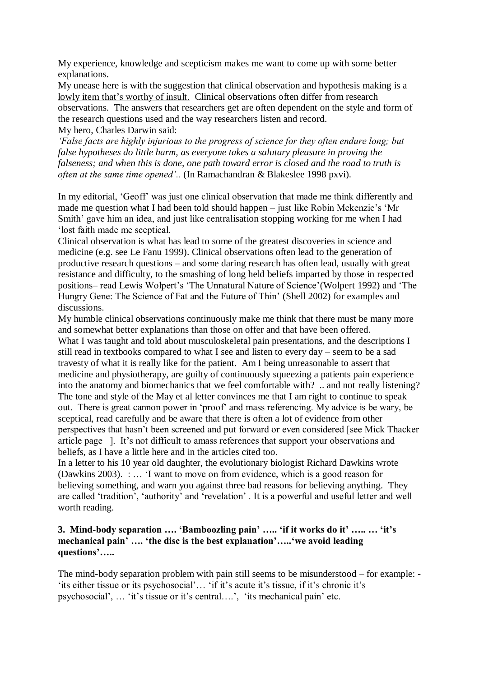My experience, knowledge and scepticism makes me want to come up with some better explanations.

My unease here is with the suggestion that clinical observation and hypothesis making is a lowly item that's worthy of insult. Clinical observations often differ from research observations. The answers that researchers get are often dependent on the style and form of the research questions used and the way researchers listen and record.

My hero, Charles Darwin said:

*'False facts are highly injurious to the progress of science for they often endure long; but false hypotheses do little harm, as everyone takes a salutary pleasure in proving the falseness; and when this is done, one path toward error is closed and the road to truth is often at the same time opened'..* (In Ramachandran & Blakeslee 1998 pxvi)*.* 

In my editorial, 'Geoff' was just one clinical observation that made me think differently and made me question what I had been told should happen – just like Robin Mckenzie's 'Mr Smith' gave him an idea, and just like centralisation stopping working for me when I had 'lost faith made me sceptical.

Clinical observation is what has lead to some of the greatest discoveries in science and medicine (e.g. see Le Fanu 1999). Clinical observations often lead to the generation of productive research questions – and some daring research has often lead, usually with great resistance and difficulty, to the smashing of long held beliefs imparted by those in respected positions– read Lewis Wolpert's 'The Unnatural Nature of Science'(Wolpert 1992) and 'The Hungry Gene: The Science of Fat and the Future of Thin' (Shell 2002) for examples and discussions.

My humble clinical observations continuously make me think that there must be many more and somewhat better explanations than those on offer and that have been offered. What I was taught and told about musculoskeletal pain presentations, and the descriptions I still read in textbooks compared to what I see and listen to every day – seem to be a sad travesty of what it is really like for the patient. Am I being unreasonable to assert that medicine and physiotherapy, are guilty of continuously squeezing a patients pain experience into the anatomy and biomechanics that we feel comfortable with? .. and not really listening? The tone and style of the May et al letter convinces me that I am right to continue to speak out. There is great cannon power in 'proof' and mass referencing. My advice is be wary, be sceptical, read carefully and be aware that there is often a lot of evidence from other perspectives that hasn't been screened and put forward or even considered [see Mick Thacker article page ]. It's not difficult to amass references that support your observations and beliefs, as I have a little here and in the articles cited too.

In a letter to his 10 year old daughter, the evolutionary biologist Richard Dawkins wrote (Dawkins 2003). : … 'I want to move on from evidence, which is a good reason for believing something, and warn you against three bad reasons for believing anything. They are called 'tradition', 'authority' and 'revelation' . It is a powerful and useful letter and well worth reading.

## **3. Mind-body separation …. 'Bamboozling pain' ….. 'if it works do it' ….. … 'it's mechanical pain' …. 'the disc is the best explanation'…..'we avoid leading questions'…..**

The mind-body separation problem with pain still seems to be misunderstood – for example: - 'its either tissue or its psychosocial'… 'if it's acute it's tissue, if it's chronic it's psychosocial', … 'it's tissue or it's central….', 'its mechanical pain' etc.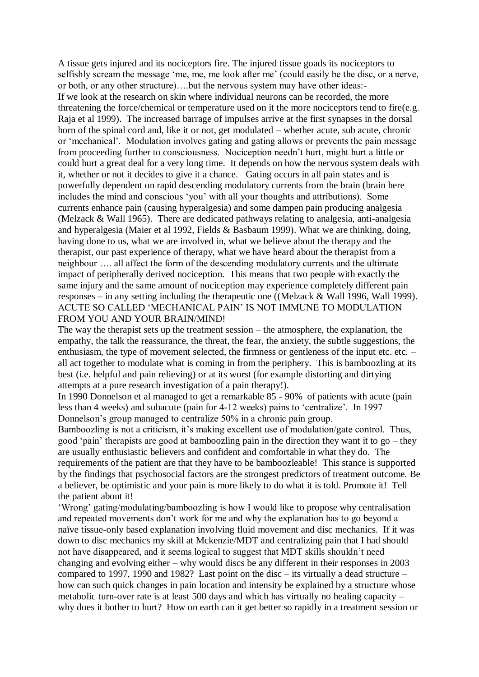A tissue gets injured and its nociceptors fire. The injured tissue goads its nociceptors to selfishly scream the message 'me, me, me look after me' (could easily be the disc, or a nerve, or both, or any other structure)….but the nervous system may have other ideas:- If we look at the research on skin where individual neurons can be recorded, the more threatening the force/chemical or temperature used on it the more nociceptors tend to fire(e.g. Raja et al 1999). The increased barrage of impulses arrive at the first synapses in the dorsal horn of the spinal cord and, like it or not, get modulated – whether acute, sub acute, chronic or 'mechanical'. Modulation involves gating and gating allows or prevents the pain message from proceeding further to consciousness. Nociception needn't hurt, might hurt a little or could hurt a great deal for a very long time. It depends on how the nervous system deals with it, whether or not it decides to give it a chance. Gating occurs in all pain states and is powerfully dependent on rapid descending modulatory currents from the brain (brain here includes the mind and conscious 'you' with all your thoughts and attributions). Some currents enhance pain (causing hyperalgesia) and some dampen pain producing analgesia (Melzack & Wall 1965). There are dedicated pathways relating to analgesia, anti-analgesia and hyperalgesia (Maier et al 1992, Fields & Basbaum 1999). What we are thinking, doing, having done to us, what we are involved in, what we believe about the therapy and the therapist, our past experience of therapy, what we have heard about the therapist from a neighbour …. all affect the form of the descending modulatory currents and the ultimate impact of peripherally derived nociception. This means that two people with exactly the same injury and the same amount of nociception may experience completely different pain responses – in any setting including the therapeutic one ((Melzack & Wall 1996, Wall 1999). ACUTE SO CALLED 'MECHANICAL PAIN' IS NOT IMMUNE TO MODULATION FROM YOU AND YOUR BRAIN/MIND!

The way the therapist sets up the treatment session – the atmosphere, the explanation, the empathy, the talk the reassurance, the threat, the fear, the anxiety, the subtle suggestions, the enthusiasm, the type of movement selected, the firmness or gentleness of the input etc. etc. – all act together to modulate what is coming in from the periphery. This is bamboozling at its best (i.e. helpful and pain relieving) or at its worst (for example distorting and dirtying attempts at a pure research investigation of a pain therapy!).

In 1990 Donnelson et al managed to get a remarkable 85 - 90% of patients with acute (pain less than 4 weeks) and subacute (pain for 4-12 weeks) pains to 'centralize'. In 1997 Donnelson's group managed to centralize 50% in a chronic pain group.

Bamboozling is not a criticism, it's making excellent use of modulation/gate control. Thus, good 'pain' therapists are good at bamboozling pain in the direction they want it to go – they are usually enthusiastic believers and confident and comfortable in what they do. The requirements of the patient are that they have to be bamboozleable! This stance is supported by the findings that psychosocial factors are the strongest predictors of treatment outcome. Be a believer, be optimistic and your pain is more likely to do what it is told. Promote it! Tell the patient about it!

'Wrong' gating/modulating/bamboozling is how I would like to propose why centralisation and repeated movements don't work for me and why the explanation has to go beyond a naïve tissue-only based explanation involving fluid movement and disc mechanics. If it was down to disc mechanics my skill at Mckenzie/MDT and centralizing pain that I had should not have disappeared, and it seems logical to suggest that MDT skills shouldn't need changing and evolving either – why would discs be any different in their responses in 2003 compared to 1997, 1990 and 1982? Last point on the disc – its virtually a dead structure – how can such quick changes in pain location and intensity be explained by a structure whose metabolic turn-over rate is at least 500 days and which has virtually no healing capacity – why does it bother to hurt? How on earth can it get better so rapidly in a treatment session or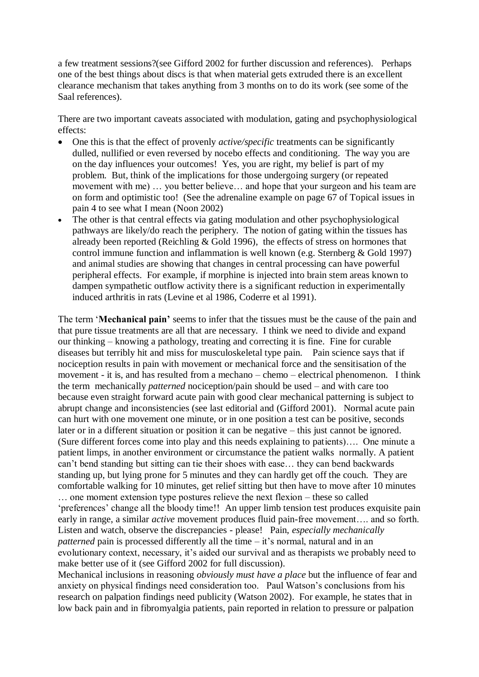a few treatment sessions?(see Gifford 2002 for further discussion and references). Perhaps one of the best things about discs is that when material gets extruded there is an excellent clearance mechanism that takes anything from 3 months on to do its work (see some of the Saal references).

There are two important caveats associated with modulation, gating and psychophysiological effects:

- One this is that the effect of provenly *active/specific* treatments can be significantly dulled, nullified or even reversed by nocebo effects and conditioning. The way you are on the day influences your outcomes! Yes, you are right, my belief is part of my problem. But, think of the implications for those undergoing surgery (or repeated movement with me) ... you better believe... and hope that your surgeon and his team are on form and optimistic too! (See the adrenaline example on page 67 of Topical issues in pain 4 to see what I mean (Noon 2002)
- The other is that central effects via gating modulation and other psychophysiological pathways are likely/do reach the periphery. The notion of gating within the tissues has already been reported (Reichling & Gold 1996), the effects of stress on hormones that control immune function and inflammation is well known (e.g. Sternberg & Gold 1997) and animal studies are showing that changes in central processing can have powerful peripheral effects. For example, if morphine is injected into brain stem areas known to dampen sympathetic outflow activity there is a significant reduction in experimentally induced arthritis in rats (Levine et al 1986, Coderre et al 1991).

The term '**Mechanical pain'** seems to infer that the tissues must be the cause of the pain and that pure tissue treatments are all that are necessary. I think we need to divide and expand our thinking – knowing a pathology, treating and correcting it is fine. Fine for curable diseases but terribly hit and miss for musculoskeletal type pain. Pain science says that if nociception results in pain with movement or mechanical force and the sensitisation of the movement - it is, and has resulted from a mechano – chemo – electrical phenomenon. I think the term mechanically *patterned* nociception/pain should be used – and with care too because even straight forward acute pain with good clear mechanical patterning is subject to abrupt change and inconsistencies (see last editorial and (Gifford 2001). Normal acute pain can hurt with one movement one minute, or in one position a test can be positive, seconds later or in a different situation or position it can be negative – this just cannot be ignored. (Sure different forces come into play and this needs explaining to patients)…. One minute a patient limps, in another environment or circumstance the patient walks normally. A patient can't bend standing but sitting can tie their shoes with ease… they can bend backwards standing up, but lying prone for 5 minutes and they can hardly get off the couch. They are comfortable walking for 10 minutes, get relief sitting but then have to move after 10 minutes … one moment extension type postures relieve the next flexion – these so called 'preferences' change all the bloody time!! An upper limb tension test produces exquisite pain early in range, a similar *active* movement produces fluid pain-free movement…. and so forth. Listen and watch, observe the discrepancies - please! Pain, *especially mechanically patterned* pain is processed differently all the time – it's normal, natural and in an evolutionary context, necessary, it's aided our survival and as therapists we probably need to make better use of it (see Gifford 2002 for full discussion).

Mechanical inclusions in reasoning *obviously must have a place* but the influence of fear and anxiety on physical findings need consideration too. Paul Watson's conclusions from his research on palpation findings need publicity (Watson 2002). For example, he states that in low back pain and in fibromyalgia patients, pain reported in relation to pressure or palpation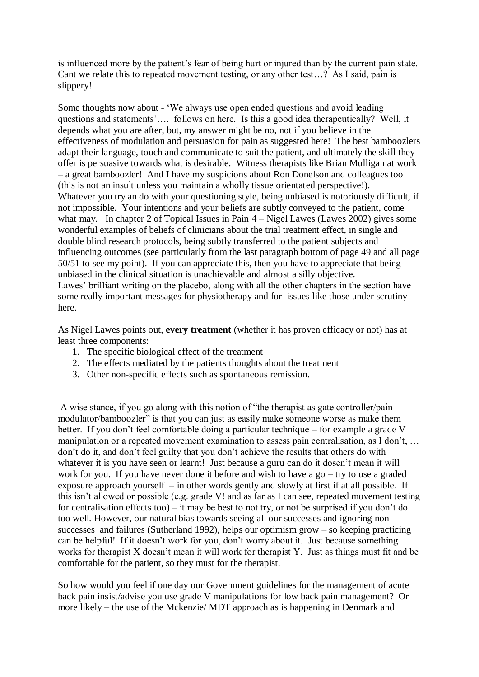is influenced more by the patient's fear of being hurt or injured than by the current pain state. Cant we relate this to repeated movement testing, or any other test…? As I said, pain is slippery!

Some thoughts now about - 'We always use open ended questions and avoid leading questions and statements'…. follows on here. Is this a good idea therapeutically? Well, it depends what you are after, but, my answer might be no, not if you believe in the effectiveness of modulation and persuasion for pain as suggested here! The best bamboozlers adapt their language, touch and communicate to suit the patient, and ultimately the skill they offer is persuasive towards what is desirable. Witness therapists like Brian Mulligan at work – a great bamboozler! And I have my suspicions about Ron Donelson and colleagues too (this is not an insult unless you maintain a wholly tissue orientated perspective!). Whatever you try an do with your questioning style, being unbiased is notoriously difficult, if not impossible. Your intentions and your beliefs are subtly conveyed to the patient, come what may. In chapter 2 of Topical Issues in Pain  $4 -$  Nigel Lawes (Lawes 2002) gives some wonderful examples of beliefs of clinicians about the trial treatment effect, in single and double blind research protocols, being subtly transferred to the patient subjects and influencing outcomes (see particularly from the last paragraph bottom of page 49 and all page 50/51 to see my point). If you can appreciate this, then you have to appreciate that being unbiased in the clinical situation is unachievable and almost a silly objective. Lawes' brilliant writing on the placebo, along with all the other chapters in the section have some really important messages for physiotherapy and for issues like those under scrutiny here.

As Nigel Lawes points out, **every treatment** (whether it has proven efficacy or not) has at least three components:

- 1. The specific biological effect of the treatment
- 2. The effects mediated by the patients thoughts about the treatment
- 3. Other non-specific effects such as spontaneous remission.

A wise stance, if you go along with this notion of "the therapist as gate controller/pain modulator/bamboozler" is that you can just as easily make someone worse as make them better. If you don't feel comfortable doing a particular technique – for example a grade V manipulation or a repeated movement examination to assess pain centralisation, as I don't, … don't do it, and don't feel guilty that you don't achieve the results that others do with whatever it is you have seen or learnt! Just because a guru can do it dosen't mean it will work for you. If you have never done it before and wish to have a go – try to use a graded exposure approach yourself – in other words gently and slowly at first if at all possible. If this isn't allowed or possible (e.g. grade V! and as far as I can see, repeated movement testing for centralisation effects too) – it may be best to not try, or not be surprised if you don't do too well. However, our natural bias towards seeing all our successes and ignoring nonsuccesses and failures (Sutherland 1992), helps our optimism grow – so keeping practicing can be helpful! If it doesn't work for you, don't worry about it. Just because something works for therapist X doesn't mean it will work for therapist Y. Just as things must fit and be comfortable for the patient, so they must for the therapist.

So how would you feel if one day our Government guidelines for the management of acute back pain insist/advise you use grade V manipulations for low back pain management? Or more likely – the use of the Mckenzie/ MDT approach as is happening in Denmark and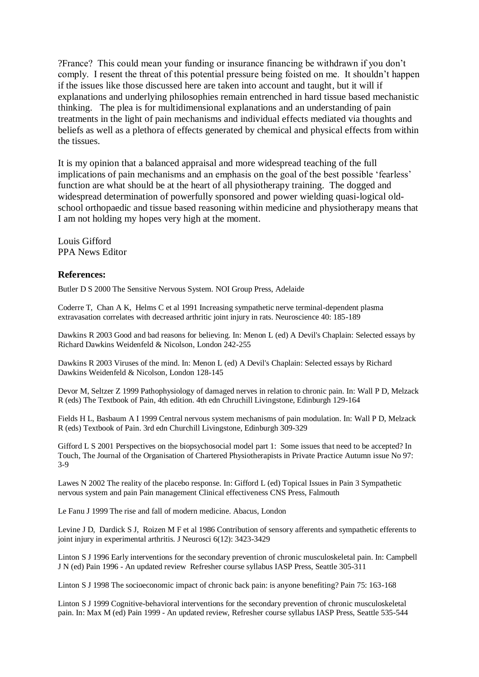?France? This could mean your funding or insurance financing be withdrawn if you don't comply. I resent the threat of this potential pressure being foisted on me. It shouldn't happen if the issues like those discussed here are taken into account and taught, but it will if explanations and underlying philosophies remain entrenched in hard tissue based mechanistic thinking. The plea is for multidimensional explanations and an understanding of pain treatments in the light of pain mechanisms and individual effects mediated via thoughts and beliefs as well as a plethora of effects generated by chemical and physical effects from within the tissues.

It is my opinion that a balanced appraisal and more widespread teaching of the full implications of pain mechanisms and an emphasis on the goal of the best possible 'fearless' function are what should be at the heart of all physiotherapy training. The dogged and widespread determination of powerfully sponsored and power wielding quasi-logical oldschool orthopaedic and tissue based reasoning within medicine and physiotherapy means that I am not holding my hopes very high at the moment.

Louis Gifford PPA News Editor

#### **References:**

Butler D S 2000 The Sensitive Nervous System. NOI Group Press, Adelaide

Coderre T, Chan A K, Helms C et al 1991 Increasing sympathetic nerve terminal-dependent plasma extravasation correlates with decreased arthritic joint injury in rats. Neuroscience 40: 185-189

Dawkins R 2003 Good and bad reasons for believing. In: Menon L (ed) A Devil's Chaplain: Selected essays by Richard Dawkins Weidenfeld & Nicolson, London 242-255

Dawkins R 2003 Viruses of the mind. In: Menon L (ed) A Devil's Chaplain: Selected essays by Richard Dawkins Weidenfeld & Nicolson, London 128-145

Devor M, Seltzer Z 1999 Pathophysiology of damaged nerves in relation to chronic pain. In: Wall P D, Melzack R (eds) The Textbook of Pain, 4th edition. 4th edn Chruchill Livingstone, Edinburgh 129-164

Fields H L, Basbaum A I 1999 Central nervous system mechanisms of pain modulation. In: Wall P D, Melzack R (eds) Textbook of Pain. 3rd edn Churchill Livingstone, Edinburgh 309-329

Gifford L S 2001 Perspectives on the biopsychosocial model part 1: Some issues that need to be accepted? In Touch, The Journal of the Organisation of Chartered Physiotherapists in Private Practice Autumn issue No 97: 3-9

Lawes N 2002 The reality of the placebo response. In: Gifford L (ed) Topical Issues in Pain 3 Sympathetic nervous system and pain Pain management Clinical effectiveness CNS Press, Falmouth

Le Fanu J 1999 The rise and fall of modern medicine. Abacus, London

Levine J D, Dardick S J, Roizen M F et al 1986 Contribution of sensory afferents and sympathetic efferents to joint injury in experimental arthritis. J Neurosci 6(12): 3423-3429

Linton S J 1996 Early interventions for the secondary prevention of chronic musculoskeletal pain. In: Campbell J N (ed) Pain 1996 - An updated review Refresher course syllabus IASP Press, Seattle 305-311

Linton S J 1998 The socioeconomic impact of chronic back pain: is anyone benefiting? Pain 75: 163-168

Linton S J 1999 Cognitive-behavioral interventions for the secondary prevention of chronic musculoskeletal pain. In: Max M (ed) Pain 1999 - An updated review, Refresher course syllabus IASP Press, Seattle 535-544